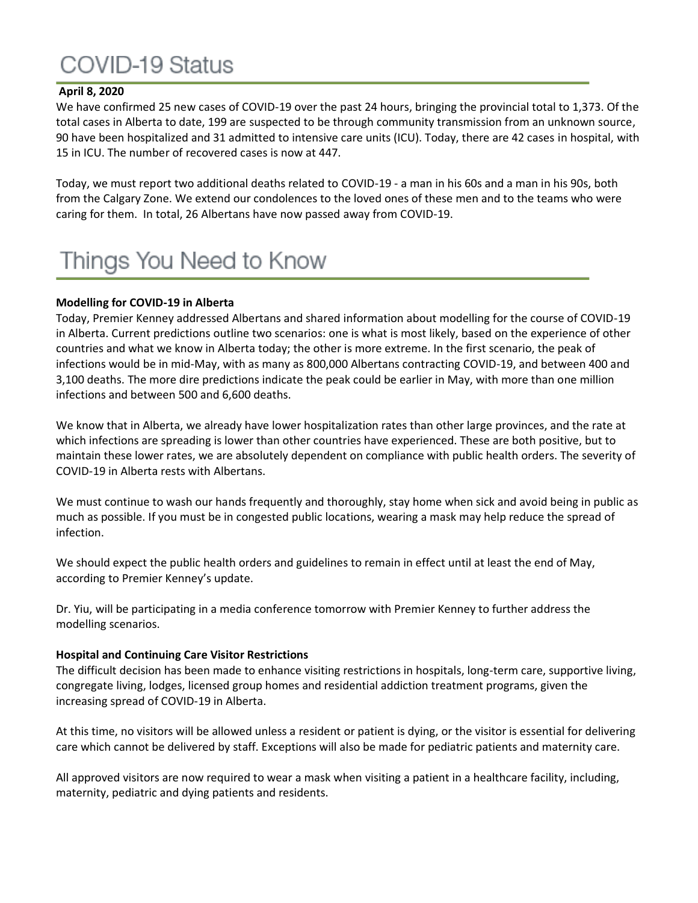# COVID-19 Status

## **April 8, 2020**

We have confirmed 25 new cases of COVID-19 over the past 24 hours, bringing the provincial total to 1,373. Of the total cases in Alberta to date, 199 are suspected to be through community transmission from an unknown source, 90 have been hospitalized and 31 admitted to intensive care units (ICU). Today, there are 42 cases in hospital, with 15 in ICU. The number of recovered cases is now at 447.

Today, we must report two additional deaths related to COVID-19 - a man in his 60s and a man in his 90s, both from the Calgary Zone. We extend our condolences to the loved ones of these men and to the teams who were caring for them. In total, 26 Albertans have now passed away from COVID-19.

# Things You Need to Know

#### **Modelling for COVID-19 in Alberta**

Today, Premier Kenney addressed Albertans and shared information about modelling for the course of COVID-19 in Alberta. Current predictions outline two scenarios: one is what is most likely, based on the experience of other countries and what we know in Alberta today; the other is more extreme. In the first scenario, the peak of infections would be in mid-May, with as many as 800,000 Albertans contracting COVID-19, and between 400 and 3,100 deaths. The more dire predictions indicate the peak could be earlier in May, with more than one million infections and between 500 and 6,600 deaths.

We know that in Alberta, we already have lower hospitalization rates than other large provinces, and the rate at which infections are spreading is lower than other countries have experienced. These are both positive, but to maintain these lower rates, we are absolutely dependent on compliance with public health orders. The severity of COVID-19 in Alberta rests with Albertans.

We must continue to wash our hands frequently and thoroughly, stay home when sick and avoid being in public as much as possible. If you must be in congested public locations, wearing a mask may help reduce the spread of infection.

We should expect the public health orders and guidelines to remain in effect until at least the end of May, according to Premier Kenney's update.

Dr. Yiu, will be participating in a media conference tomorrow with Premier Kenney to further address the modelling scenarios.

#### **Hospital and Continuing Care Visitor Restrictions**

The difficult decision has been made to enhance visiting restrictions in hospitals, long-term care, supportive living, congregate living, lodges, licensed group homes and residential addiction treatment programs, given the increasing spread of COVID-19 in Alberta.

At this time, no visitors will be allowed unless a resident or patient is dying, or the visitor is essential for delivering care which cannot be delivered by staff. Exceptions will also be made for pediatric patients and maternity care.

All approved visitors are now required to wear a mask when visiting a patient in a healthcare facility, including, maternity, pediatric and dying patients and residents.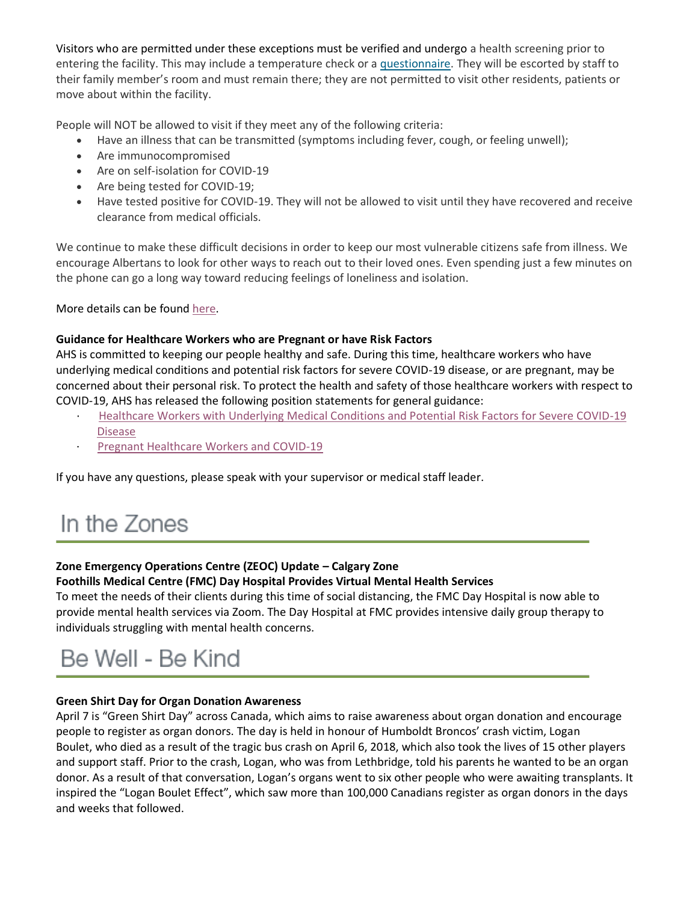Visitors who are permitted under these exceptions must be verified and undergo a health screening prior to entering the facility. This may include a temperature check or a [questionnaire.](https://www.albertahealthservices.ca/assets/info/ppih/if-ppih-visitor-guidance-continuing-care-and-congregate-living.pdf) They will be escorted by staff to their family member's room and must remain there; they are not permitted to visit other residents, patients or move about within the facility.

People will NOT be allowed to visit if they meet any of the following criteria:

- Have an illness that can be transmitted (symptoms including fever, cough, or feeling unwell);
- Are immunocompromised
- Are on self-isolation for COVID-19
- Are being tested for COVID-19;
- Have tested positive for COVID-19. They will not be allowed to visit until they have recovered and receive clearance from medical officials.

We continue to make these difficult decisions in order to keep our most vulnerable citizens safe from illness. We encourage Albertans to look for other ways to reach out to their loved ones. Even spending just a few minutes on the phone can go a long way toward reducing feelings of loneliness and isolation.

More details can be found [here.](https://www.alberta.ca/release.cfm?xID=7002558A018CF-F9A9-099C-85E0C54DE1C3B87C)

## **Guidance for Healthcare Workers who are Pregnant or have Risk Factors**

AHS is committed to keeping our people healthy and safe. During this time, healthcare workers who have underlying medical conditions and potential risk factors for severe COVID-19 disease, or are pregnant, may be concerned about their personal risk. To protect the health and safety of those healthcare workers with respect to COVID-19, AHS has released the following position statements for general guidance:

- · [Healthcare Workers with Underlying Medical Conditions and Potential Risk Factors for Severe COVID-19](https://www.albertahealthservices.ca/assets/info/ppih/if-ppih-covid-19-hwc-medical-conditions-position-statement.pdf)  [Disease](https://www.albertahealthservices.ca/assets/info/ppih/if-ppih-covid-19-hwc-medical-conditions-position-statement.pdf)
- · [Pregnant Healthcare Workers and COVID-19](https://www.albertahealthservices.ca/assets/info/ppih/if-ppih-covid-19-hwc-pregnant-position-statement.pdf)

If you have any questions, please speak with your supervisor or medical staff leader.

# In the Zones

## **Zone Emergency Operations Centre (ZEOC) Update – Calgary Zone**

**Foothills Medical Centre (FMC) Day Hospital Provides Virtual Mental Health Services**

To meet the needs of their clients during this time of social distancing, the FMC Day Hospital is now able to provide mental health services via Zoom. The Day Hospital at FMC provides intensive daily group therapy to individuals struggling with mental health concerns.

## Be Well - Be Kind

## **Green Shirt Day for Organ Donation Awareness**

April 7 is "Green Shirt Day" across Canada, which aims to raise awareness about organ donation and encourage people to register as organ donors. The day is held in honour of Humboldt Broncos' crash victim, Logan Boulet, who died as a result of the tragic bus crash on April 6, 2018, which also took the lives of 15 other players and support staff. Prior to the crash, Logan, who was from Lethbridge, told his parents he wanted to be an organ donor. As a result of that conversation, Logan's organs went to six other people who were awaiting transplants. It inspired the "Logan Boulet Effect", which saw more than 100,000 Canadians register as organ donors in the days and weeks that followed.